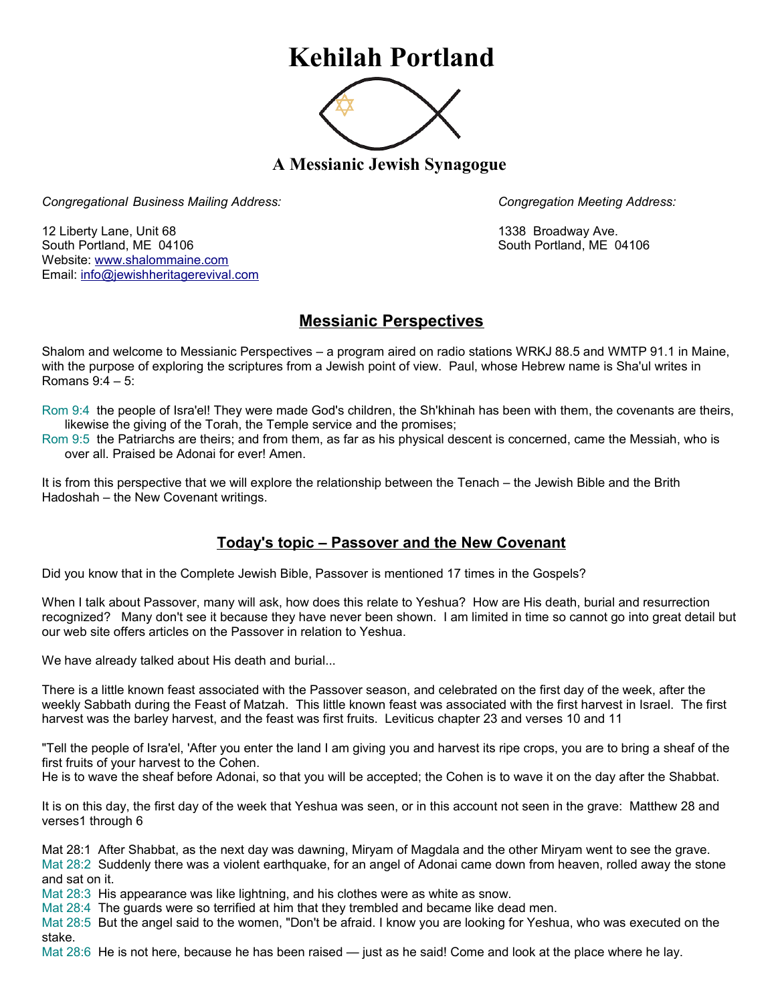## **Kehilah Portland**



**A Messianic Jewish Synagogue** 

*Congregational Business Mailing Address: Congregation Meeting Address:*

12 Liberty Lane, Unit 68 1338 Broadway Ave. South Portland, ME 04106 South Portland, ME 04106 Website: [www.shalommaine.com](http://www.shalommaine.com/) Email: [info@jewishheritagerevival.com](mailto:info@jewishheritagerevival.com) 

## **Messianic Perspectives**

Shalom and welcome to Messianic Perspectives – a program aired on radio stations WRKJ 88.5 and WMTP 91.1 in Maine, with the purpose of exploring the scriptures from a Jewish point of view. Paul, whose Hebrew name is Sha'ul writes in Romans 9:4 – 5:

Rom 9:4 the people of Isra'el! They were made God's children, the Sh'khinah has been with them, the covenants are theirs, likewise the giving of the Torah, the Temple service and the promises;

Rom 9:5 the Patriarchs are theirs; and from them, as far as his physical descent is concerned, came the Messiah, who is over all. Praised be Adonai for ever! Amen.

It is from this perspective that we will explore the relationship between the Tenach – the Jewish Bible and the Brith Hadoshah – the New Covenant writings.

## **Today's topic – Passover and the New Covenant**

Did you know that in the Complete Jewish Bible, Passover is mentioned 17 times in the Gospels?

When I talk about Passover, many will ask, how does this relate to Yeshua? How are His death, burial and resurrection recognized? Many don't see it because they have never been shown. I am limited in time so cannot go into great detail but our web site offers articles on the Passover in relation to Yeshua.

We have already talked about His death and burial...

There is a little known feast associated with the Passover season, and celebrated on the first day of the week, after the weekly Sabbath during the Feast of Matzah. This little known feast was associated with the first harvest in Israel. The first harvest was the barley harvest, and the feast was first fruits. Leviticus chapter 23 and verses 10 and 11

"Tell the people of Isra'el, 'After you enter the land I am giving you and harvest its ripe crops, you are to bring a sheaf of the first fruits of your harvest to the Cohen.

He is to wave the sheaf before Adonai, so that you will be accepted; the Cohen is to wave it on the day after the Shabbat.

It is on this day, the first day of the week that Yeshua was seen, or in this account not seen in the grave: Matthew 28 and verses1 through 6

Mat 28:1 After Shabbat, as the next day was dawning, Miryam of Magdala and the other Miryam went to see the grave. Mat 28:2 Suddenly there was a violent earthquake, for an angel of Adonai came down from heaven, rolled away the stone and sat on it.

Mat 28:3 His appearance was like lightning, and his clothes were as white as snow.

Mat 28:4 The guards were so terrified at him that they trembled and became like dead men.

Mat 28:5 But the angel said to the women, "Don't be afraid. I know you are looking for Yeshua, who was executed on the stake.

Mat 28:6 He is not here, because he has been raised — just as he said! Come and look at the place where he lay.